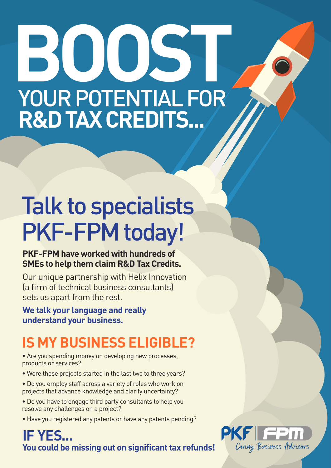# **BOOST** YOUR POTENTIAL FOR **R&D TAX CREDITS...**

## Talk to specialists PKF-FPM today!

#### **PKF-FPM have worked with hundreds of SMEs to help them claim R&D Tax Credits.**

Our unique partnership with Helix Innovation (a firm of technical business consultants) sets us apart from the rest.

**We talk your language and really understand your business.**

### **IS MY BUSINESS ELIGIBLE?**

- Are you spending money on developing new processes, products or services?
- Were these projects started in the last two to three years?
- Do you employ staff across a variety of roles who work on projects that advance knowledge and clarify uncertainty?
- Do you have to engage third party consultants to help you resolve any challenges on a project?
- Have you registered any patents or have any patents pending?

### **IF YES... You could be missing out on significant tax refunds!**